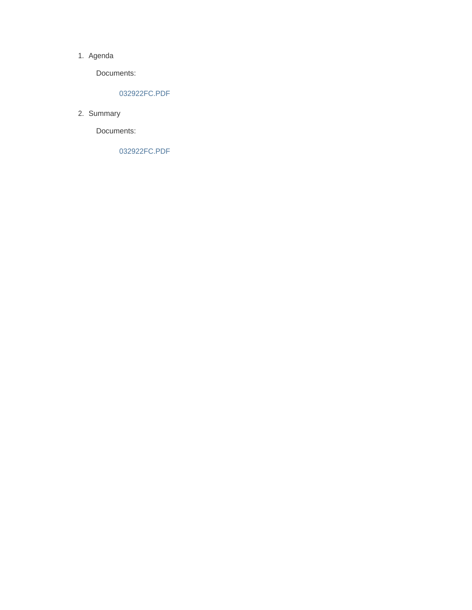#### 1. Agenda

Documents:

#### 032922FC.PDF

2. Summary

Documents:

032922FC.PDF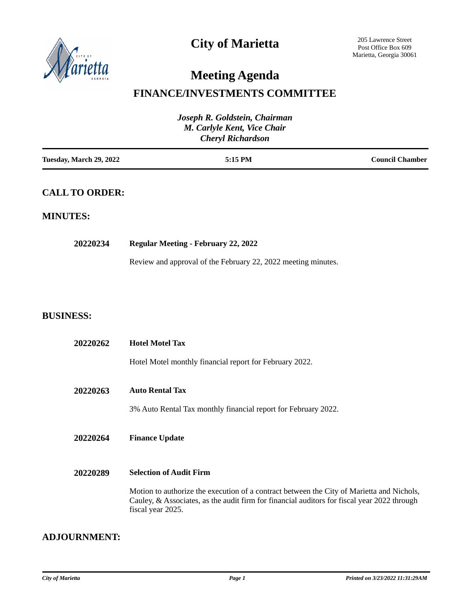

# **City of Marietta**

# **Meeting Agenda**

### **FINANCE/INVESTMENTS COMMITTEE**

| Joseph R. Goldstein, Chairman<br>M. Carlyle Kent, Vice Chair<br><b>Cheryl Richardson</b> |                                                                                                                                                                                                               |                        |
|------------------------------------------------------------------------------------------|---------------------------------------------------------------------------------------------------------------------------------------------------------------------------------------------------------------|------------------------|
| Tuesday, March 29, 2022                                                                  | 5:15 PM                                                                                                                                                                                                       | <b>Council Chamber</b> |
| <b>CALL TO ORDER:</b>                                                                    |                                                                                                                                                                                                               |                        |
| <b>MINUTES:</b>                                                                          |                                                                                                                                                                                                               |                        |
| 20220234                                                                                 | <b>Regular Meeting - February 22, 2022</b>                                                                                                                                                                    |                        |
|                                                                                          | Review and approval of the February 22, 2022 meeting minutes.                                                                                                                                                 |                        |
|                                                                                          |                                                                                                                                                                                                               |                        |
| <b>BUSINESS:</b>                                                                         |                                                                                                                                                                                                               |                        |
| 20220262                                                                                 | <b>Hotel Motel Tax</b>                                                                                                                                                                                        |                        |
|                                                                                          | Hotel Motel monthly financial report for February 2022.                                                                                                                                                       |                        |
| 20220263                                                                                 | <b>Auto Rental Tax</b>                                                                                                                                                                                        |                        |
|                                                                                          | 3% Auto Rental Tax monthly financial report for February 2022.                                                                                                                                                |                        |
| 20220264                                                                                 | <b>Finance Update</b>                                                                                                                                                                                         |                        |
| 20220289                                                                                 | <b>Selection of Audit Firm</b>                                                                                                                                                                                |                        |
|                                                                                          | Motion to authorize the execution of a contract between the City of Marietta and Nichols,<br>Cauley, & Associates, as the audit firm for financial auditors for fiscal year 2022 through<br>fiscal year 2025. |                        |

#### **ADJOURNMENT:**